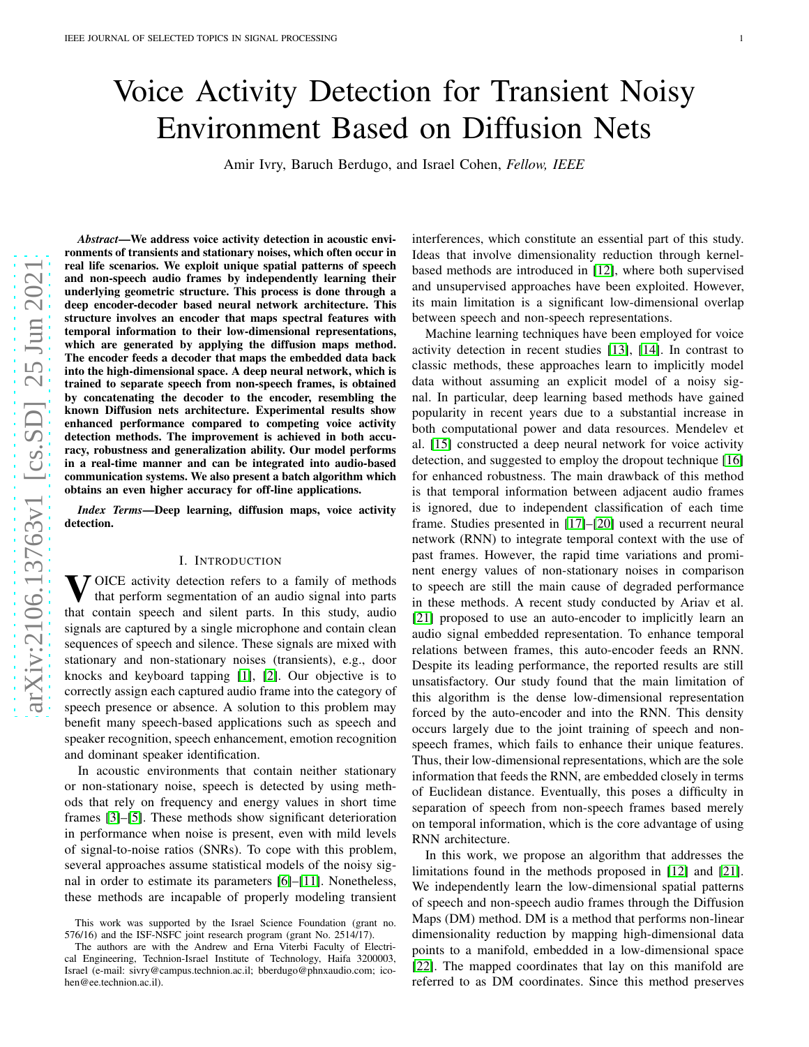# Voice Activity Detection for Transient Noisy Environment Based on Diffusion Nets

Amir Ivry, Baruch Berdugo, and Israel Cohen, *Fellow, IEEE*

*Abstract*—We address voice activity detection in acoustic environments of transients and stationary noises, which often occur in real life scenarios. We exploit unique spatial patterns of speech and non-speech audio frames by independently learning thei r underlying geometric structure. This process is done through a deep encoder-decoder based neural network architecture. This structure involves an encoder that maps spectral features with temporal information to their low-dimensional representations, which are generated by applying the diffusion maps method. The encoder feeds a decoder that maps the embedded data back into the high-dimensional space. A deep neural network, which is trained to separate speech from non-speech frames, is obtained by concatenating the decoder to the encoder, resembling the known Diffusion nets architecture. Experimental results show enhanced performance compared to competing voice activity detection methods. The improvement is achieved in both accuracy, robustness and generalization ability. Our model performs in a real-time manner and can be integrated into audio-based communication systems. We also present a batch algorithm which obtains an even higher accuracy for off-line applications.

*Index Terms*—Deep learning, diffusion maps, voice activity detection.

#### I. INTRODUCTION

V OICE activity detection refers to a family of methods<br>that perform segmentation of an audio signal into parts that perform segmentation of an audio signal into parts that contain speech and silent parts. In this study, audio signals are captured by a single microphone and contain clea n sequences of speech and silence. These signals are mixed wit h stationary and non-stationary noises (transients), e.g., door knocks and keyboard tapping [\[1\]](#page-9-0), [\[2\]](#page-9-1). Our objective is to correctly assign each captured audio frame into the category of speech presence or absence. A solution to this problem may benefit many speech-based applications such as speech and speaker recognition, speech enhancement, emotion recognition and dominant speaker identification.

In acoustic environments that contain neither stationary or non-stationary noise, speech is detected by using methods that rely on frequency and energy values in short time frames [\[3\]](#page-9-2)–[\[5\]](#page-9-3). These methods show significant deterioration in performance when noise is present, even with mild levels of signal-to-noise ratios (SNRs). To cope with this problem , several approaches assume statistical models of the noisy signal in order to estimate its parameters [\[6\]](#page-9-4)–[\[11\]](#page-9-5). Nonetheless, these methods are incapable of properly modeling transient interferences, which constitute an essential part of this study. Ideas that involve dimensionality reduction through kernelbased methods are introduced in [\[12\]](#page-9-6), where both supervised and unsupervised approaches have been exploited. However, its main limitation is a significant low-dimensional overla p between speech and non-speech representations.

Machine learning techniques have been employed for voice activity detection in recent studies [\[13\]](#page-9-7), [\[14\]](#page-9-8). In contrast to classic methods, these approaches learn to implicitly mode l data without assuming an explicit model of a noisy signal. In particular, deep learning based methods have gained popularity in recent years due to a substantial increase in both computational power and data resources. Mendelev et al. [\[15\]](#page-9-9) constructed a deep neural network for voice activity detection, and suggested to employ the dropout technique [\[16\]](#page-9-10) for enhanced robustness. The main drawback of this method is that temporal information between adjacent audio frames is ignored, due to independent classification of each time frame. Studies presented in [\[17\]](#page-9-11)–[\[20\]](#page-9-12) used a recurrent neural network (RNN) to integrate temporal context with the use of past frames. However, the rapid time variations and prominent energy values of non-stationary noises in comparison to speech are still the main cause of degraded performance in these methods. A recent study conducted by Ariav et al. [\[21\]](#page-9-13) proposed to use an auto-encoder to implicitly learn an audio signal embedded representation. To enhance temporal relations between frames, this auto-encoder feeds an RNN. Despite its leading performance, the reported results are still unsatisfactory. Our study found that the main limitation of this algorithm is the dense low-dimensional representatio n forced by the auto-encoder and into the RNN. This density occurs largely due to the joint training of speech and nonspeech frames, which fails to enhance their unique features. Thus, their low-dimensional representations, which are the sole information that feeds the RNN, are embedded closely in term s of Euclidean distance. Eventually, this poses a difficulty i n separation of speech from non-speech frames based merely on temporal information, which is the core advantage of usin g RNN architecture.

In this work, we propose an algorithm that addresses the limitations found in the methods proposed in [\[12\]](#page-9-6) and [\[21\]](#page-9-13). We independently learn the low-dimensional spatial patterns of speech and non-speech audio frames through the Diffusion Maps (DM) method. DM is a method that performs non-linear dimensionality reduction by mapping high-dimensional dat a points to a manifold, embedded in a low-dimensional space [\[22\]](#page-9-14). The mapped coordinates that lay on this manifold are referred to as DM coordinates. Since this method preserves

This work was supported by the Israel Science Foundation (grant no. 576/16) and the ISF-NSFC joint research program (grant No. 2514/17).

The authors are with the Andrew and Erna Viterbi Faculty of Electrical Engineering, Technion-Israel Institute of Technology, Haifa 3200003, Israel (e-mail: sivry@campus.technion.ac.il; bberdugo@phnxaudio.com; icohen@ee.technion.ac.il).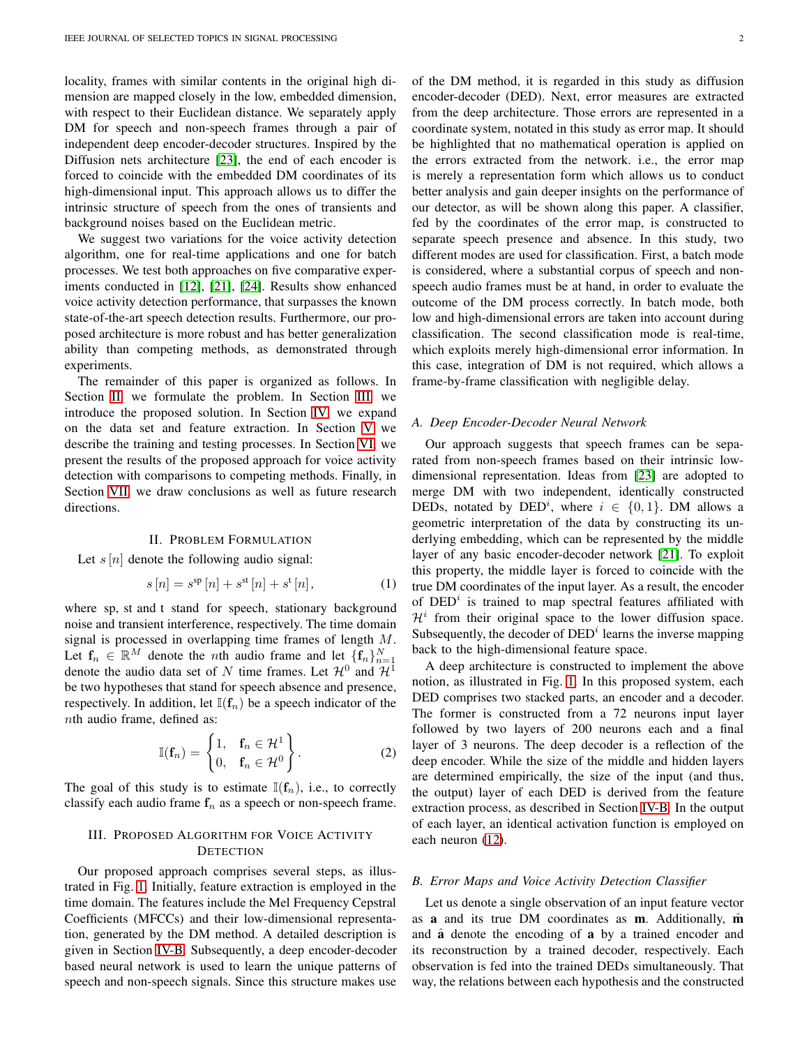locality, frames with similar contents in the original high dimension are mapped closely in the low, embedded dimension, with respect to their Euclidean distance. We separately apply DM for speech and non-speech frames through a pair of independent deep encoder-decoder structures. Inspired by the Diffusion nets architecture [\[23\]](#page-10-0), the end of each encoder is forced to coincide with the embedded DM coordinates of its high-dimensional input. This approach allows us to differ the intrinsic structure of speech from the ones of transients and background noises based on the Euclidean metric.

We suggest two variations for the voice activity detection algorithm, one for real-time applications and one for batch processes. We test both approaches on five comparative experiments conducted in [\[12\]](#page-9-6), [\[21\]](#page-9-13), [\[24\]](#page-10-1). Results show enhanced voice activity detection performance, that surpasses the known state-of-the-art speech detection results. Furthermore, our proposed architecture is more robust and has better generalization ability than competing methods, as demonstrated through experiments.

The remainder of this paper is organized as follows. In Section [II,](#page-1-0) we formulate the problem. In Section [III,](#page-1-1) we introduce the proposed solution. In Section [IV,](#page-2-0) we expand on the data set and feature extraction. In Section [V](#page-3-0) we describe the training and testing processes. In Section [VI,](#page-5-0) we present the results of the proposed approach for voice activity detection with comparisons to competing methods. Finally, in Section [VII,](#page-8-0) we draw conclusions as well as future research directions.

#### II. PROBLEM FORMULATION

<span id="page-1-0"></span>Let  $s[n]$  denote the following audio signal:

$$
s[n] = s^{sp}[n] + s^{st}[n] + s^{t}[n],
$$
\n(1)

where sp, st and t stand for speech, stationary background noise and transient interference, respectively. The time domain signal is processed in overlapping time frames of length M. Let  $f_n \in \mathbb{R}^M$  denote the *n*th audio frame and let  $\{f_n\}_{n=1}^N$ denote the audio data set of N time frames. Let  $\mathcal{H}^0$  and  $\mathcal{H}^1$ be two hypotheses that stand for speech absence and presence, respectively. In addition, let  $\mathbb{I}(\mathbf{f}_n)$  be a speech indicator of the nth audio frame, defined as:

$$
\mathbb{I}(\mathbf{f}_n) = \begin{cases} 1, & \mathbf{f}_n \in \mathcal{H}^1 \\ 0, & \mathbf{f}_n \in \mathcal{H}^0 \end{cases}.
$$
 (2)

The goal of this study is to estimate  $\mathbb{I}(\mathbf{f}_n)$ , i.e., to correctly classify each audio frame  $f_n$  as a speech or non-speech frame.

# <span id="page-1-1"></span>III. PROPOSED ALGORITHM FOR VOICE ACTIVITY **DETECTION**

Our proposed approach comprises several steps, as illustrated in Fig. [1.](#page-2-1) Initially, feature extraction is employed in the time domain. The features include the Mel Frequency Cepstral Coefficients (MFCCs) and their low-dimensional representation, generated by the DM method. A detailed description is given in Section [IV-B.](#page-2-2) Subsequently, a deep encoder-decoder based neural network is used to learn the unique patterns of speech and non-speech signals. Since this structure makes use

of the DM method, it is regarded in this study as diffusion encoder-decoder (DED). Next, error measures are extracted from the deep architecture. Those errors are represented in a coordinate system, notated in this study as error map. It should be highlighted that no mathematical operation is applied on the errors extracted from the network. i.e., the error map is merely a representation form which allows us to conduct better analysis and gain deeper insights on the performance of our detector, as will be shown along this paper. A classifier, fed by the coordinates of the error map, is constructed to separate speech presence and absence. In this study, two different modes are used for classification. First, a batch mode is considered, where a substantial corpus of speech and nonspeech audio frames must be at hand, in order to evaluate the outcome of the DM process correctly. In batch mode, both low and high-dimensional errors are taken into account during classification. The second classification mode is real-time, which exploits merely high-dimensional error information. In this case, integration of DM is not required, which allows a frame-by-frame classification with negligible delay.

## *A. Deep Encoder-Decoder Neural Network*

Our approach suggests that speech frames can be separated from non-speech frames based on their intrinsic lowdimensional representation. Ideas from [\[23\]](#page-10-0) are adopted to merge DM with two independent, identically constructed DEDs, notated by DED<sup>i</sup>, where  $i \in \{0,1\}$ . DM allows a geometric interpretation of the data by constructing its underlying embedding, which can be represented by the middle layer of any basic encoder-decoder network [\[21\]](#page-9-13). To exploit this property, the middle layer is forced to coincide with the true DM coordinates of the input layer. As a result, the encoder of  $\text{DED}^i$  is trained to map spectral features affiliated with  $\mathcal{H}^i$  from their original space to the lower diffusion space. Subsequently, the decoder of  $\text{DED}^i$  learns the inverse mapping back to the high-dimensional feature space.

<span id="page-1-3"></span><span id="page-1-2"></span>A deep architecture is constructed to implement the above notion, as illustrated in Fig. [1.](#page-2-1) In this proposed system, each DED comprises two stacked parts, an encoder and a decoder. The former is constructed from a 72 neurons input layer followed by two layers of 200 neurons each and a final layer of 3 neurons. The deep decoder is a reflection of the deep encoder. While the size of the middle and hidden layers are determined empirically, the size of the input (and thus, the output) layer of each DED is derived from the feature extraction process, as described in Section [IV-B.](#page-2-2) In the output of each layer, an identical activation function is employed on each neuron [\(12\)](#page-4-0).

## <span id="page-1-4"></span>*B. Error Maps and Voice Activity Detection Classifier*

Let us denote a single observation of an input feature vector as **a** and its true DM coordinates as  $m$ . Additionally,  $\hat{m}$ and  $\hat{a}$  denote the encoding of  $a$  by a trained encoder and its reconstruction by a trained decoder, respectively. Each observation is fed into the trained DEDs simultaneously. That way, the relations between each hypothesis and the constructed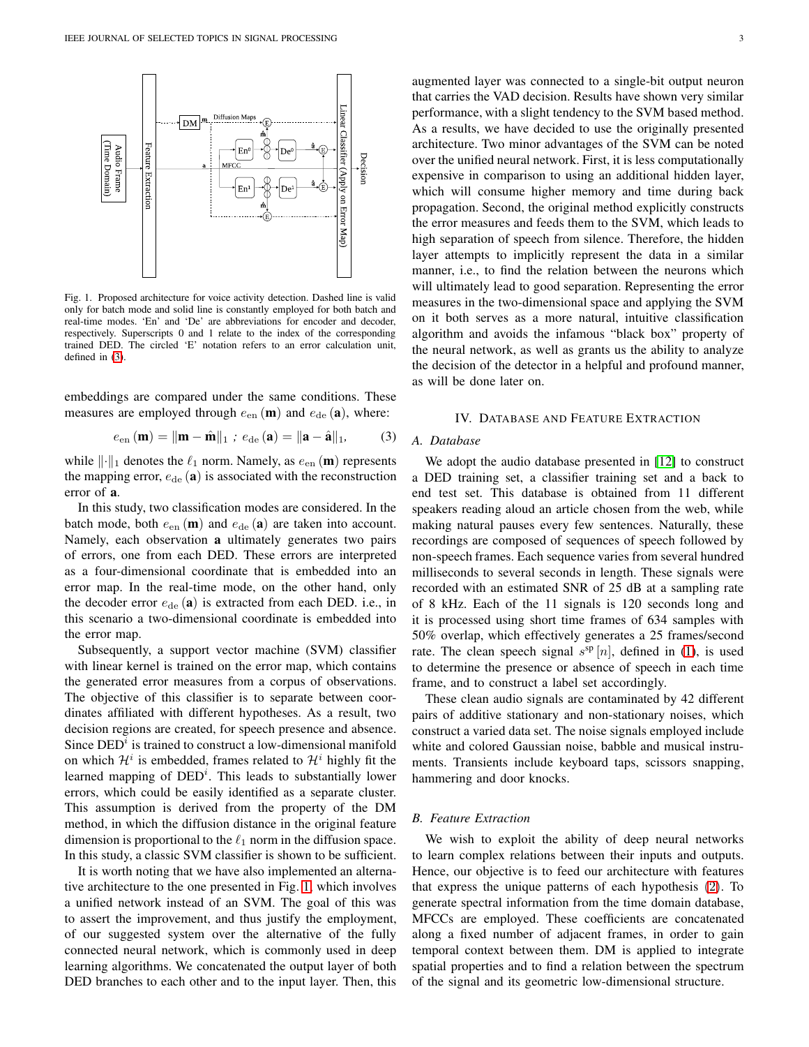

<span id="page-2-1"></span>Fig. 1. Proposed architecture for voice activity detection. Dashed line is valid only for batch mode and solid line is constantly employed for both batch and real-time modes. 'En' and 'De' are abbreviations for encoder and decoder, respectively. Superscripts 0 and 1 relate to the index of the corresponding trained DED. The circled 'E' notation refers to an error calculation unit, defined in [\(3\)](#page-2-3).

embeddings are compared under the same conditions. These measures are employed through  $e_{en}$  (m) and  $e_{de}$  (a), where:

$$
e_{\text{en}}(\mathbf{m}) = \|\mathbf{m} - \hat{\mathbf{m}}\|_1; e_{\text{de}}(\mathbf{a}) = \|\mathbf{a} - \hat{\mathbf{a}}\|_1,\tag{3}
$$

while  $\lVert \cdot \rVert_1$  denotes the  $\ell_1$  norm. Namely, as  $e_{en}(\mathbf{m})$  represents the mapping error,  $e_{de}(\mathbf{a})$  is associated with the reconstruction error of a.

In this study, two classification modes are considered. In the batch mode, both  $e_{en}(\mathbf{m})$  and  $e_{de}(\mathbf{a})$  are taken into account. Namely, each observation a ultimately generates two pairs of errors, one from each DED. These errors are interpreted as a four-dimensional coordinate that is embedded into an error map. In the real-time mode, on the other hand, only the decoder error  $e_{de}(\mathbf{a})$  is extracted from each DED. i.e., in this scenario a two-dimensional coordinate is embedded into the error map.

Subsequently, a support vector machine (SVM) classifier with linear kernel is trained on the error map, which contains the generated error measures from a corpus of observations. The objective of this classifier is to separate between coordinates affiliated with different hypotheses. As a result, two decision regions are created, for speech presence and absence. Since  $\text{DED}^i$  is trained to construct a low-dimensional manifold on which  $\mathcal{H}^i$  is embedded, frames related to  $\mathcal{H}^i$  highly fit the learned mapping of  $\text{DED}^i$ . This leads to substantially lower errors, which could be easily identified as a separate cluster. This assumption is derived from the property of the DM method, in which the diffusion distance in the original feature dimension is proportional to the  $\ell_1$  norm in the diffusion space. In this study, a classic SVM classifier is shown to be sufficient.

It is worth noting that we have also implemented an alternative architecture to the one presented in Fig. [1,](#page-2-1) which involves a unified network instead of an SVM. The goal of this was to assert the improvement, and thus justify the employment, of our suggested system over the alternative of the fully connected neural network, which is commonly used in deep learning algorithms. We concatenated the output layer of both DED branches to each other and to the input layer. Then, this

augmented layer was connected to a single-bit output neuron that carries the VAD decision. Results have shown very similar performance, with a slight tendency to the SVM based method. As a results, we have decided to use the originally presented architecture. Two minor advantages of the SVM can be noted over the unified neural network. First, it is less computationally expensive in comparison to using an additional hidden layer, which will consume higher memory and time during back propagation. Second, the original method explicitly constructs the error measures and feeds them to the SVM, which leads to high separation of speech from silence. Therefore, the hidden layer attempts to implicitly represent the data in a similar manner, i.e., to find the relation between the neurons which will ultimately lead to good separation. Representing the error measures in the two-dimensional space and applying the SVM on it both serves as a more natural, intuitive classification algorithm and avoids the infamous "black box" property of the neural network, as well as grants us the ability to analyze the decision of the detector in a helpful and profound manner, as will be done later on.

## IV. DATABASE AND FEATURE EXTRACTION

# <span id="page-2-4"></span><span id="page-2-3"></span><span id="page-2-0"></span>*A. Database*

We adopt the audio database presented in [\[12\]](#page-9-6) to construct a DED training set, a classifier training set and a back to end test set. This database is obtained from 11 different speakers reading aloud an article chosen from the web, while making natural pauses every few sentences. Naturally, these recordings are composed of sequences of speech followed by non-speech frames. Each sequence varies from several hundred milliseconds to several seconds in length. These signals were recorded with an estimated SNR of 25 dB at a sampling rate of 8 kHz. Each of the 11 signals is 120 seconds long and it is processed using short time frames of 634 samples with 50% overlap, which effectively generates a 25 frames/second rate. The clean speech signal  $s^{sp}[n]$ , defined in [\(1\)](#page-1-2), is used to determine the presence or absence of speech in each time frame, and to construct a label set accordingly.

These clean audio signals are contaminated by 42 different pairs of additive stationary and non-stationary noises, which construct a varied data set. The noise signals employed include white and colored Gaussian noise, babble and musical instruments. Transients include keyboard taps, scissors snapping, hammering and door knocks.

## <span id="page-2-2"></span>*B. Feature Extraction*

We wish to exploit the ability of deep neural networks to learn complex relations between their inputs and outputs. Hence, our objective is to feed our architecture with features that express the unique patterns of each hypothesis [\(2\)](#page-1-3). To generate spectral information from the time domain database, MFCCs are employed. These coefficients are concatenated along a fixed number of adjacent frames, in order to gain temporal context between them. DM is applied to integrate spatial properties and to find a relation between the spectrum of the signal and its geometric low-dimensional structure.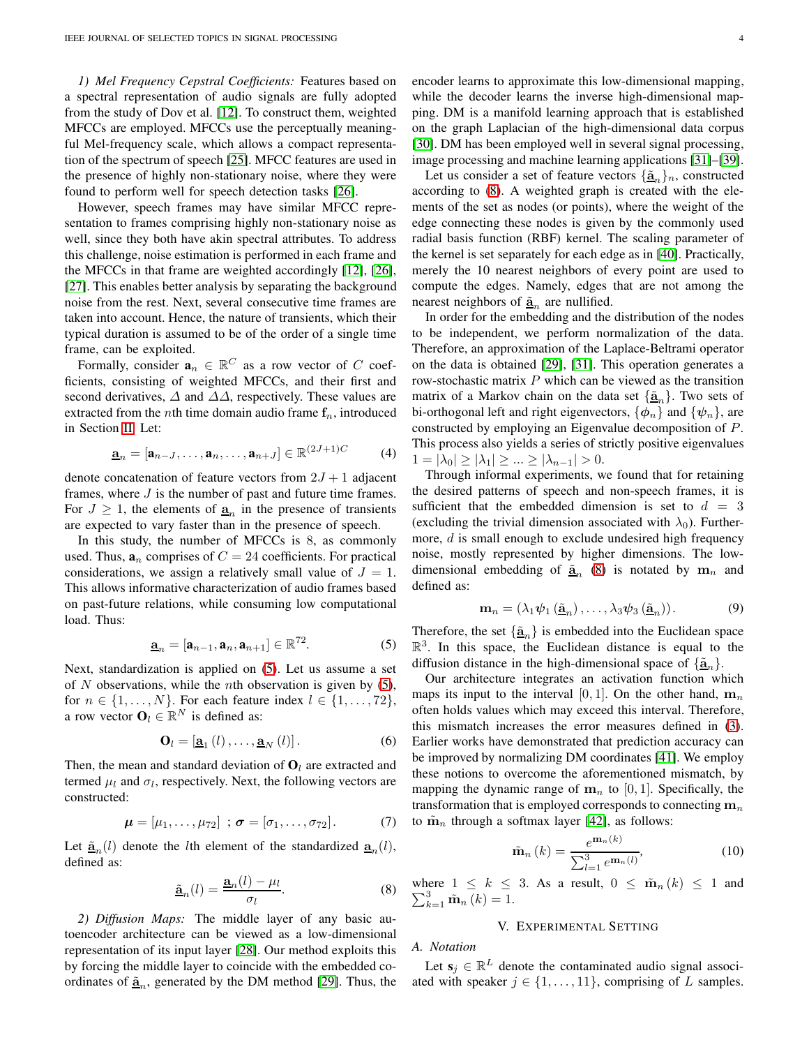<span id="page-3-3"></span>*1) Mel Frequency Cepstral Coefficients:* Features based on a spectral representation of audio signals are fully adopted from the study of Dov et al. [\[12\]](#page-9-6). To construct them, weighted MFCCs are employed. MFCCs use the perceptually meaningful Mel-frequency scale, which allows a compact representation of the spectrum of speech [\[25\]](#page-10-2). MFCC features are used in the presence of highly non-stationary noise, where they were found to perform well for speech detection tasks [\[26\]](#page-10-3).

However, speech frames may have similar MFCC representation to frames comprising highly non-stationary noise as well, since they both have akin spectral attributes. To address this challenge, noise estimation is performed in each frame and the MFCCs in that frame are weighted accordingly [\[12\]](#page-9-6), [\[26\]](#page-10-3), [\[27\]](#page-10-4). This enables better analysis by separating the background noise from the rest. Next, several consecutive time frames are taken into account. Hence, the nature of transients, which their typical duration is assumed to be of the order of a single time frame, can be exploited.

Formally, consider  $\mathbf{a}_n \in \mathbb{R}^C$  as a row vector of C coefficients, consisting of weighted MFCCs, and their first and second derivatives,  $\Delta$  and  $\Delta\Delta$ , respectively. These values are extracted from the *n*th time domain audio frame  $f_n$ , introduced in Section [II.](#page-1-0) Let:

$$
\underline{\mathbf{a}}_n = [\mathbf{a}_{n-J}, \dots, \mathbf{a}_n, \dots, \mathbf{a}_{n+J}] \in \mathbb{R}^{(2J+1)C}
$$
 (4)

denote concatenation of feature vectors from  $2J + 1$  adjacent frames, where  $J$  is the number of past and future time frames. For  $J \geq 1$ , the elements of  $\underline{\mathbf{a}}_n$  in the presence of transients are expected to vary faster than in the presence of speech.

In this study, the number of MFCCs is 8, as commonly used. Thus,  $a_n$  comprises of  $C = 24$  coefficients. For practical considerations, we assign a relatively small value of  $J = 1$ . This allows informative characterization of audio frames based on past-future relations, while consuming low computational load. Thus:

$$
\underline{\mathbf{a}}_n = [\mathbf{a}_{n-1}, \mathbf{a}_n, \mathbf{a}_{n+1}] \in \mathbb{R}^{72}.
$$
 (5)

Next, standardization is applied on [\(5\)](#page-3-1). Let us assume a set of  $N$  observations, while the *n*th observation is given by [\(5\)](#page-3-1), for  $n \in \{1, \ldots, N\}$ . For each feature index  $l \in \{1, \ldots, 72\}$ , a row vector  $O_l \in \mathbb{R}^N$  is defined as:

$$
\mathbf{O}_{l} = \left[\underline{\mathbf{a}}_{1}\left(l\right),\ldots,\underline{\mathbf{a}}_{N}\left(l\right)\right].\tag{6}
$$

Then, the mean and standard deviation of  $O<sub>l</sub>$  are extracted and termed  $\mu_l$  and  $\sigma_l$ , respectively. Next, the following vectors are constructed:

$$
\boldsymbol{\mu} = [\mu_1,\ldots,\mu_{72}]; \ \boldsymbol{\sigma} = [\sigma_1,\ldots,\sigma_{72}]. \tag{7}
$$

Let  $\underline{\tilde{\mathbf{a}}}_n(l)$  denote the *l*th element of the standardized  $\underline{\mathbf{a}}_n(l)$ , defined as:

$$
\underline{\tilde{\mathbf{a}}}_n(l) = \frac{\underline{\mathbf{a}}_n(l) - \mu_l}{\sigma_l}.
$$
\n(8)

<span id="page-3-4"></span>*2) Diffusion Maps:* The middle layer of any basic autoencoder architecture can be viewed as a low-dimensional representation of its input layer [\[28\]](#page-10-5). Our method exploits this by forcing the middle layer to coincide with the embedded coordinates of  $\underline{\tilde{a}}_n$ , generated by the DM method [\[29\]](#page-10-6). Thus, the encoder learns to approximate this low-dimensional mapping, while the decoder learns the inverse high-dimensional mapping. DM is a manifold learning approach that is established on the graph Laplacian of the high-dimensional data corpus [\[30\]](#page-10-7). DM has been employed well in several signal processing, image processing and machine learning applications [\[31\]](#page-10-8)–[\[39\]](#page-10-9).

Let us consider a set of feature vectors  $\{\underline{\tilde{\mathbf{a}}}_n\}_n$ , constructed according to [\(8\)](#page-3-2). A weighted graph is created with the elements of the set as nodes (or points), where the weight of the edge connecting these nodes is given by the commonly used radial basis function (RBF) kernel. The scaling parameter of the kernel is set separately for each edge as in [\[40\]](#page-10-10). Practically, merely the 10 nearest neighbors of every point are used to compute the edges. Namely, edges that are not among the nearest neighbors of  $\underline{\tilde{\mathbf{a}}}_n$  are nullified.

In order for the embedding and the distribution of the nodes to be independent, we perform normalization of the data. Therefore, an approximation of the Laplace-Beltrami operator on the data is obtained [\[29\]](#page-10-6), [\[31\]](#page-10-8). This operation generates a row-stochastic matrix  $P$  which can be viewed as the transition matrix of a Markov chain on the data set  $\{\underline{\tilde{a}}_n\}$ . Two sets of bi-orthogonal left and right eigenvectors,  $\{\phi_n\}$  and  $\{\psi_n\}$ , are constructed by employing an Eigenvalue decomposition of P. This process also yields a series of strictly positive eigenvalues  $1 = |\lambda_0| \ge |\lambda_1| \ge ... \ge |\lambda_{n-1}| > 0.$ 

Through informal experiments, we found that for retaining the desired patterns of speech and non-speech frames, it is sufficient that the embedded dimension is set to  $d = 3$ (excluding the trivial dimension associated with  $\lambda_0$ ). Furthermore, d is small enough to exclude undesired high frequency noise, mostly represented by higher dimensions. The lowdimensional embedding of  $\underline{\tilde{a}}_n$  [\(8\)](#page-3-2) is notated by  $m_n$  and defined as:

$$
\mathbf{m}_n = (\lambda_1 \psi_1(\underline{\tilde{\mathbf{a}}}_n), \dots, \lambda_3 \psi_3(\underline{\tilde{\mathbf{a}}}_n)).
$$
 (9)

<span id="page-3-1"></span>Therefore, the set  $\{\underline{\tilde{\mathbf{a}}}_n\}$  is embedded into the Euclidean space  $\mathbb{R}^3$ . In this space, the Euclidean distance is equal to the diffusion distance in the high-dimensional space of  $\{\underline{\tilde{\mathbf{a}}}_n\}$ .

Our architecture integrates an activation function which maps its input to the interval [0, 1]. On the other hand,  $m_n$ often holds values which may exceed this interval. Therefore, this mismatch increases the error measures defined in [\(3\)](#page-2-3). Earlier works have demonstrated that prediction accuracy can be improved by normalizing DM coordinates [\[41\]](#page-10-11). We employ these notions to overcome the aforementioned mismatch, by mapping the dynamic range of  $m_n$  to [0, 1]. Specifically, the transformation that is employed corresponds to connecting  $m<sub>n</sub>$ to  $\tilde{\mathbf{m}}_n$  through a softmax layer [\[42\]](#page-10-12), as follows:

<span id="page-3-5"></span>
$$
\tilde{\mathbf{m}}_n(k) = \frac{e^{\mathbf{m}_n(k)}}{\sum_{l=1}^3 e^{\mathbf{m}_n(l)}},\tag{10}
$$

<span id="page-3-2"></span> $\sum_{k=1}^{3} \tilde{\mathbf{m}}_n (k) = 1.$ where  $1 \leq k \leq 3$ . As a result,  $0 \leq \tilde{m}_n(k) \leq 1$  and

#### V. EXPERIMENTAL SETTING

# <span id="page-3-0"></span>*A. Notation*

Let  $s_j \in \mathbb{R}^L$  denote the contaminated audio signal associated with speaker  $j \in \{1, \ldots, 11\}$ , comprising of L samples.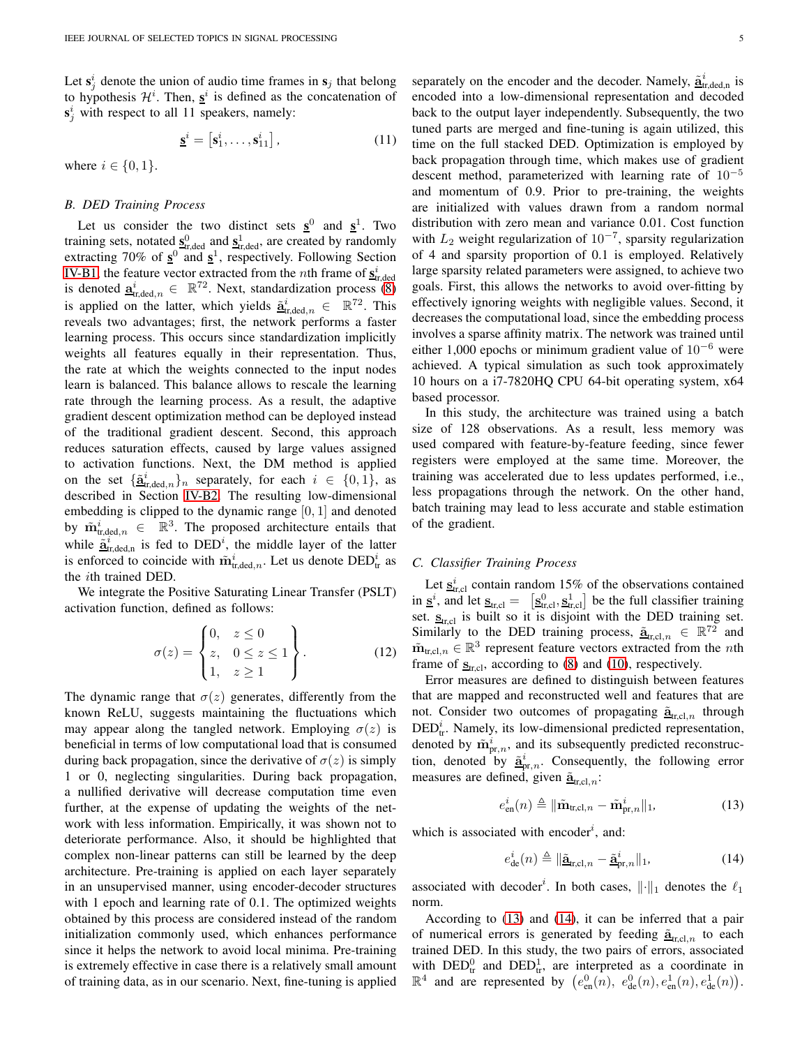Let  $s_j^i$  denote the union of audio time frames in  $s_j$  that belong to hypothesis  $\mathcal{H}^i$ . Then,  $\underline{s}^i$  is defined as the concatenation of  $s_j^i$  with respect to all 11 speakers, namely:

$$
\underline{\mathbf{s}}^i = \begin{bmatrix} \mathbf{s}_1^i, \dots, \mathbf{s}_{11}^i \end{bmatrix},\tag{11}
$$

where  $i \in \{0, 1\}$ .

# *B. DED Training Process*

Let us consider the two distinct sets  $\mathbf{s}^0$  and  $\mathbf{s}^1$ . Two training sets, notated  $\underline{\mathbf{s}}_{tr,\text{ded}}^0$  and  $\underline{\mathbf{s}}_{tr,\text{ded}}^1$ , are created by randomly extracting 70% of  $\underline{s}^0$  and  $\underline{s}^1$ , respectively. Following Section [IV-B1,](#page-3-3) the feature vector extracted from the *n*th frame of  $\mathbf{s}^i_{\text{th}}$ tr-B<sub>1</sub>, the relative vector extracted from the *n*til riame or  $\frac{\mathbf{s}_{tr,\text{ded}}}{\mathbf{s}_{tr,\text{ded}}}, \in \mathbb{R}^{72}$ . Next, standardization process [\(8\)](#page-3-2) is applied on the latter, which yields  $\underline{\tilde{a}}_{tr, ded, n}^{i} \in \mathbb{R}^{72}$ . This reveals two advantages; first, the network performs a faster learning process. This occurs since standardization implicitly weights all features equally in their representation. Thus, the rate at which the weights connected to the input nodes learn is balanced. This balance allows to rescale the learning rate through the learning process. As a result, the adaptive gradient descent optimization method can be deployed instead of the traditional gradient descent. Second, this approach reduces saturation effects, caused by large values assigned to activation functions. Next, the DM method is applied on the set  $\{\underline{\tilde{\mathbf{a}}}_{tr,\text{ded},n}^i\}_n$  separately, for each  $i \in \{0, 1\}$ , as described in Section [IV-B2.](#page-3-4) The resulting low-dimensional embedding is clipped to the dynamic range  $[0, 1]$  and denoted by  $\tilde{\mathbf{m}}_{tr,\text{ded},n}^i \in \mathbb{R}^3$ . The proposed architecture entails that while  $\underline{\tilde{a}}_{tr,ded,n}^{i}$  is fed to DED<sup>i</sup>, the middle layer of the latter is enforced to coincide with  $\tilde{\mathbf{m}}_{tr,\text{ded},n}^i$ . Let us denote  $\text{DED}_{tr}^i$  as the ith trained DED.

We integrate the Positive Saturating Linear Transfer (PSLT) activation function, defined as follows:

$$
\sigma(z) = \begin{cases} 0, & z \le 0 \\ z, & 0 \le z \le 1 \\ 1, & z \ge 1 \end{cases}.
$$
 (12)

The dynamic range that  $\sigma(z)$  generates, differently from the known ReLU, suggests maintaining the fluctuations which may appear along the tangled network. Employing  $\sigma(z)$  is beneficial in terms of low computational load that is consumed during back propagation, since the derivative of  $\sigma(z)$  is simply 1 or 0, neglecting singularities. During back propagation, a nullified derivative will decrease computation time even further, at the expense of updating the weights of the network with less information. Empirically, it was shown not to deteriorate performance. Also, it should be highlighted that complex non-linear patterns can still be learned by the deep architecture. Pre-training is applied on each layer separately in an unsupervised manner, using encoder-decoder structures with 1 epoch and learning rate of 0.1. The optimized weights obtained by this process are considered instead of the random initialization commonly used, which enhances performance since it helps the network to avoid local minima. Pre-training is extremely effective in case there is a relatively small amount of training data, as in our scenario. Next, fine-tuning is applied

<span id="page-4-3"></span>separately on the encoder and the decoder. Namely,  $\tilde{\mathbf{a}}_{tr, \text{ded}, n}^{i}$  is encoded into a low-dimensional representation and decoded back to the output layer independently. Subsequently, the two tuned parts are merged and fine-tuning is again utilized, this time on the full stacked DED. Optimization is employed by back propagation through time, which makes use of gradient descent method, parameterized with learning rate of  $10^{-5}$ and momentum of 0.9. Prior to pre-training, the weights are initialized with values drawn from a random normal distribution with zero mean and variance 0.01. Cost function with  $L_2$  weight regularization of  $10^{-7}$ , sparsity regularization of 4 and sparsity proportion of 0.1 is employed. Relatively large sparsity related parameters were assigned, to achieve two goals. First, this allows the networks to avoid over-fitting by effectively ignoring weights with negligible values. Second, it decreases the computational load, since the embedding process involves a sparse affinity matrix. The network was trained until either 1,000 epochs or minimum gradient value of  $10^{-6}$  were achieved. A typical simulation as such took approximately 10 hours on a i7-7820HQ CPU 64-bit operating system, x64 based processor.

In this study, the architecture was trained using a batch size of 128 observations. As a result, less memory was used compared with feature-by-feature feeding, since fewer registers were employed at the same time. Moreover, the training was accelerated due to less updates performed, i.e., less propagations through the network. On the other hand, batch training may lead to less accurate and stable estimation of the gradient.

## *C. Classifier Training Process*

Let  $\underline{\mathbf{s}}_{tr,cl}^i$  contain random 15% of the observations contained in  $\mathbf{s}^i$ , and let  $\mathbf{s}_{tr,cl} = \begin{bmatrix} \mathbf{s}_{tr,cl}^0, \mathbf{s}_{tr,cl}^1 \end{bmatrix}$  be the full classifier training set.  $S_{tr,cl}$  is built so it is disjoint with the DED training set. Similarly to the DED training process,  $\tilde{\mathbf{a}}_{tr,cl,n} \in \mathbb{R}^{72}$  and  $\tilde{\mathbf{m}}_{tr,cl,n} \in \mathbb{R}^3$  represent feature vectors extracted from the *n*th frame of  $S$ <sub>tr,cl</sub>, according to [\(8\)](#page-3-2) and [\(10\)](#page-3-5), respectively.

<span id="page-4-0"></span>Error measures are defined to distinguish between features that are mapped and reconstructed well and features that are not. Consider two outcomes of propagating  $\underline{\tilde{a}}_{tr,cl,n}$  through  $\text{DED}_{tr}^i$ . Namely, its low-dimensional predicted representation, denoted by  $\tilde{\mathbf{m}}_{\text{pr},n}^{i}$ , and its subsequently predicted reconstruction, denoted by  $\underline{\tilde{a}}_{pr,n}^i$ . Consequently, the following error measures are defined, given  $\underline{\tilde{a}}_{tr,cl,n}$ :

<span id="page-4-1"></span>
$$
e_{\text{en}}^{i}(n) \triangleq \|\tilde{\mathbf{m}}_{\text{tr,cl},n} - \tilde{\mathbf{m}}_{\text{pr},n}^{i}\|_{1},\tag{13}
$$

which is associated with encoder<sup>*i*</sup>, and:

<span id="page-4-2"></span>
$$
e_{\text{de}}^i(n) \triangleq \|\tilde{\mathbf{a}}_{\text{tr,cl},n} - \tilde{\mathbf{a}}_{\text{pr},n}^i\|_1,\tag{14}
$$

associated with decoder<sup>*i*</sup>. In both cases,  $\lVert \cdot \rVert_1$  denotes the  $\ell_1$ norm.

According to [\(13\)](#page-4-1) and [\(14\)](#page-4-2), it can be inferred that a pair of numerical errors is generated by feeding  $\underline{\tilde{a}}_{tr,cl,n}$  to each trained DED. In this study, the two pairs of errors, associated with  $\text{DED}_{tr}^0$  and  $\text{DED}_{tr}^1$ , are interpreted as a coordinate in  $\mathbb{R}^4$  and are represented by  $(e_{en}^0(n), e_{de}^0(n), e_{en}^1(n), e_{de}^1(n)).$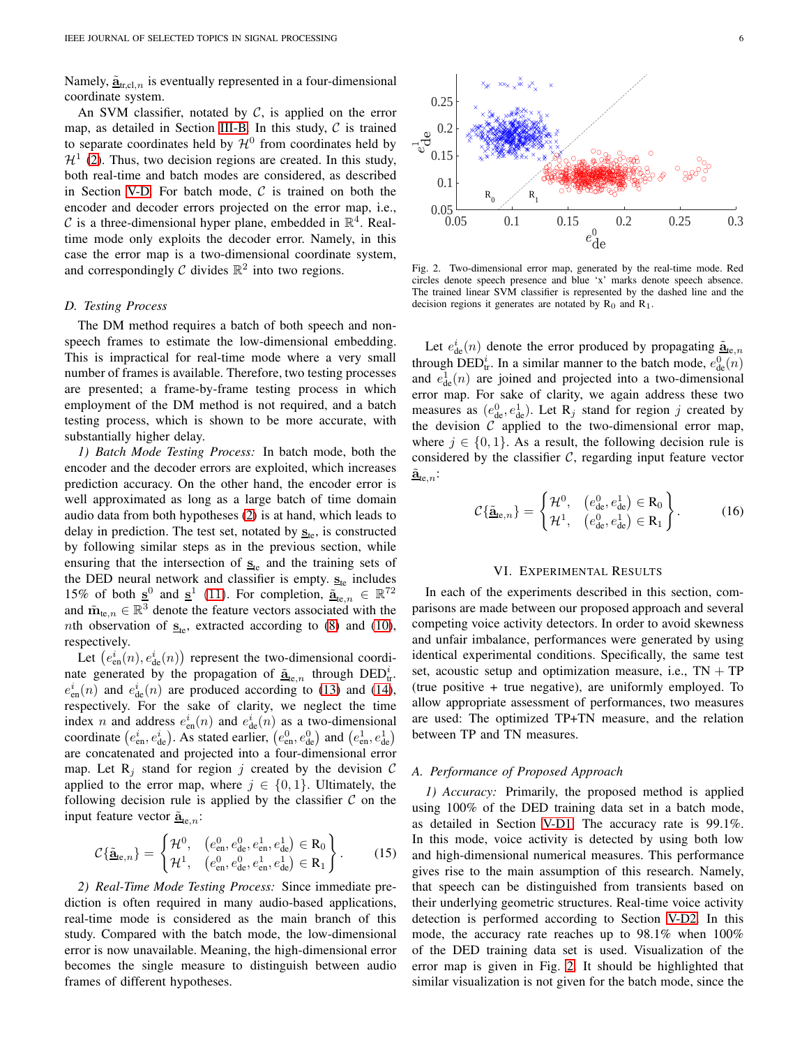Namely,  $\underline{\tilde{a}}_{tr,cl,n}$  is eventually represented in a four-dimensional coordinate system.

An SVM classifier, notated by  $C$ , is applied on the error map, as detailed in Section [III-B.](#page-1-4) In this study,  $C$  is trained to separate coordinates held by  $\mathcal{H}^0$  from coordinates held by  $H<sup>1</sup>$  [\(2\)](#page-1-3). Thus, two decision regions are created. In this study, both real-time and batch modes are considered, as described in Section [V-D.](#page-5-1) For batch mode,  $\mathcal C$  is trained on both the encoder and decoder errors projected on the error map, i.e., C is a three-dimensional hyper plane, embedded in  $\mathbb{R}^4$ . Realtime mode only exploits the decoder error. Namely, in this case the error map is a two-dimensional coordinate system, and correspondingly  $\mathcal C$  divides  $\mathbb R^2$  into two regions.

# <span id="page-5-1"></span>*D. Testing Process*

The DM method requires a batch of both speech and nonspeech frames to estimate the low-dimensional embedding. This is impractical for real-time mode where a very small number of frames is available. Therefore, two testing processes are presented; a frame-by-frame testing process in which employment of the DM method is not required, and a batch testing process, which is shown to be more accurate, with substantially higher delay.

<span id="page-5-2"></span>*1) Batch Mode Testing Process:* In batch mode, both the encoder and the decoder errors are exploited, which increases prediction accuracy. On the other hand, the encoder error is well approximated as long as a large batch of time domain audio data from both hypotheses [\(2\)](#page-1-3) is at hand, which leads to delay in prediction. The test set, notated by  $S_{te}$ , is constructed by following similar steps as in the previous section, while ensuring that the intersection of  $s_{te}$  and the training sets of the DED neural network and classifier is empty.  $s_{te}$  includes 15% of both  $\underline{s}^0$  and  $\underline{s}^1$  [\(11\)](#page-4-3). For completion,  $\underline{\tilde{a}}_{te,n} \in \mathbb{R}^{72}$ and  $\tilde{\mathbf{m}}_{\text{te},n} \in \mathbb{R}^3$  denote the feature vectors associated with the *nth* observation of  $S$ <sub>te</sub>, extracted according to [\(8\)](#page-3-2) and [\(10\)](#page-3-5), respectively.

Let  $(e_{en}^i(n), e_{de}^i(n))$  represent the two-dimensional coordinate generated by the propagation of  $\tilde{\mathbf{a}}_{\text{te},n}$  through  $\text{DED}_{tr}^i$ .  $e_{en}^{i}(n)$  and  $e_{de}^{i}(n)$  are produced according to [\(13\)](#page-4-1) and [\(14\)](#page-4-2), respectively. For the sake of clarity, we neglect the time index *n* and address  $e_{en}^i(n)$  and  $e_{de}^i(n)$  as a two-dimensional coordinate  $(e_{en}^i, e_{de}^i)$ . As stated earlier,  $(e_{en}^0, e_{de}^0)$  and  $(e_{en}^1, e_{de}^1)$ are concatenated and projected into a four-dimensional error map. Let  $R_j$  stand for region j created by the devision C applied to the error map, where  $j \in \{0, 1\}$ . Ultimately, the following decision rule is applied by the classifier  $C$  on the input feature vector  $\underline{\tilde{a}}_{te,n}$ :

$$
\mathcal{C}\{\underline{\tilde{\mathbf{a}}}_{\mathbf{e},n}\} = \begin{Bmatrix} \mathcal{H}^0, & (e_{\mathbf{e}n}^0, e_{\mathbf{d}e}^0, e_{\mathbf{e}n}^1, e_{\mathbf{d}e}^1) \in \mathbf{R}_0 \\ \mathcal{H}^1, & (e_{\mathbf{e}n}^0, e_{\mathbf{d}e}^0, e_{\mathbf{e}n}^1, e_{\mathbf{d}e}^1) \in \mathbf{R}_1 \end{Bmatrix} . \tag{15}
$$

<span id="page-5-3"></span>*2) Real-Time Mode Testing Process:* Since immediate prediction is often required in many audio-based applications, real-time mode is considered as the main branch of this study. Compared with the batch mode, the low-dimensional error is now unavailable. Meaning, the high-dimensional error becomes the single measure to distinguish between audio frames of different hypotheses.



<span id="page-5-4"></span>Fig. 2. Two-dimensional error map, generated by the real-time mode. Red circles denote speech presence and blue 'x' marks denote speech absence. The trained linear SVM classifier is represented by the dashed line and the decision regions it generates are notated by  $R_0$  and  $R_1$ .

Let  $e_{\text{de}}^{i}(n)$  denote the error produced by propagating  $\tilde{\mathbf{a}}_{\text{te},n}$ through DED<sup>i</sup><sub>t</sub>. In a similar manner to the batch mode,  $e_{de}^{0}(n)$ and  $e_{\text{de}}^1(n)$  are joined and projected into a two-dimensional error map. For sake of clarity, we again address these two measures as  $(e_{de}^0, e_{de}^1)$ . Let  $R_j$  stand for region j created by the devision  $C$  applied to the two-dimensional error map, where  $j \in \{0, 1\}$ . As a result, the following decision rule is considered by the classifier  $C$ , regarding input feature vector  $\tilde{\mathbf{a}}_{\text{te},n}$ :

$$
\mathcal{C}\{\underline{\tilde{\mathbf{a}}}_{\mathbf{e},n}\} = \begin{cases} \mathcal{H}^0, & (e_{\mathbf{de}}^0, e_{\mathbf{de}}^1) \in \mathbf{R}_0 \\ \mathcal{H}^1, & (e_{\mathbf{de}}^0, e_{\mathbf{de}}^1) \in \mathbf{R}_1 \end{cases} \tag{16}
$$

### VI. EXPERIMENTAL RESULTS

<span id="page-5-0"></span>In each of the experiments described in this section, comparisons are made between our proposed approach and several competing voice activity detectors. In order to avoid skewness and unfair imbalance, performances were generated by using identical experimental conditions. Specifically, the same test set, acoustic setup and optimization measure, i.e.,  $TN + TP$ (true positive + true negative), are uniformly employed. To allow appropriate assessment of performances, two measures are used: The optimized TP+TN measure, and the relation between TP and TN measures.

## <span id="page-5-5"></span>*A. Performance of Proposed Approach*

*1) Accuracy:* Primarily, the proposed method is applied using 100% of the DED training data set in a batch mode, as detailed in Section [V-D1.](#page-5-2) The accuracy rate is 99.1%. In this mode, voice activity is detected by using both low and high-dimensional numerical measures. This performance gives rise to the main assumption of this research. Namely, that speech can be distinguished from transients based on their underlying geometric structures. Real-time voice activity detection is performed according to Section [V-D2.](#page-5-3) In this mode, the accuracy rate reaches up to 98.1% when 100% of the DED training data set is used. Visualization of the error map is given in Fig. [2.](#page-5-4) It should be highlighted that similar visualization is not given for the batch mode, since the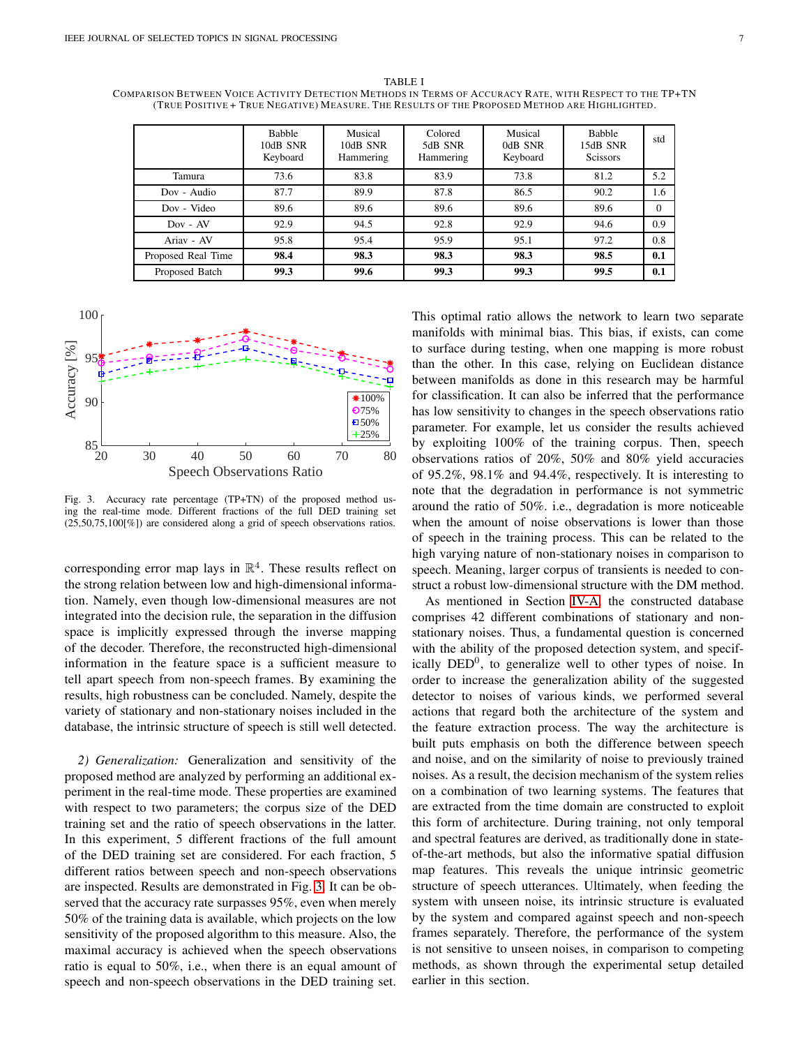<span id="page-6-1"></span>TABLE I COMPARISON BETWEEN VOICE ACTIVITY DETECTION METHODS IN TERMS OF ACCURACY RATE, WITH RESPECT TO THE TP+TN (TRUE POS ITIVE + TRUE NEGATIVE) MEASURE. THE RESULTS OF THE PROPOSED METHOD ARE HIGHLIGHTED.

|                    | Babble<br>10dB SNR<br>Keyboard | Musical<br>10dB SNR<br>Hammering | Colored<br>5dB SNR<br>Hammering | Musical<br>0dB SNR<br>Keyboard | Babble<br>15dB SNR<br><b>Scissors</b> | std      |
|--------------------|--------------------------------|----------------------------------|---------------------------------|--------------------------------|---------------------------------------|----------|
| Tamura             | 73.6                           | 83.8                             | 83.9                            | 73.8                           | 81.2                                  | 5.2      |
| Dov - Audio        | 87.7                           | 89.9                             | 87.8                            | 86.5                           | 90.2                                  | 1.6      |
| Dov - Video        | 89.6                           | 89.6                             | 89.6                            | 89.6                           | 89.6                                  | $\Omega$ |
| $Dov - AV$         | 92.9                           | 94.5                             | 92.8                            | 92.9                           | 94.6                                  | 0.9      |
| Ariav - AV         | 95.8                           | 95.4                             | 95.9                            | 95.1                           | 97.2                                  | 0.8      |
| Proposed Real Time | 98.4                           | 98.3                             | 98.3                            | 98.3                           | 98.5                                  | 0.1      |
| Proposed Batch     | 99.3                           | 99.6                             | 99.3                            | 99.3                           | 99.5                                  | 0.1      |



<span id="page-6-0"></span>Fig. 3. Accuracy rate percentage (TP+TN) of the proposed method using the real-time mode. Different fractions of the full DED training set (25,50,75,100[%]) are considered along a grid of speech observations ratios.

corresponding error map lays in  $\mathbb{R}^4$ . These results reflect on the strong relation between low and high-dimensional information. Namely, even though low-dimensional measures are not integrated into the decision rule, the separation in the diffusion space is implicitly expressed through the inverse mapping of the decoder. Therefore, the reconstructed high-dimensional information in the feature space is a sufficient measure to tell apart speech from non-speech frames. By examining the results, high robustness can be concluded. Namely, despite the variety of stationary and non-stationary noises included in the database, the intrinsic structure of speech is still well detected.

*2) Generalization:* Generalization and sensitivity of the proposed method are analyzed by performing an additional experiment in the real-time mode. These properties are examined with respect to two parameters; the corpus size of the DED training set and the ratio of speech observations in the latter. In this experiment, 5 different fractions of the full amount of the DED training set are considered. For each fraction, 5 different ratios between speech and non-speech observations are inspected. Results are demonstrated in Fig. [3.](#page-6-0) It can be observed that the accuracy rate surpasses 95%, even when merely 50% of the training data is available, which projects on the low sensitivity of the proposed algorithm to this measure. Also, the maximal accuracy is achieved when the speech observations ratio is equal to 50%, i.e., when there is an equal amount of speech and non-speech observations in the DED training set.

This optimal ratio allows the network to learn two separate manifolds with minimal bias. This bias, if exists, can come to surface during testing, when one mapping is more robust than the other. In this case, relying on Euclidean distance between manifolds as done in this research may be harmful for classification. It can also be inferred that the performance has low sensitivity to changes in the speech observations ratio parameter. For example, let us consider the results achieved by exploiting 100% of the training corpus. Then, speech observations ratios of 20%, 50% and 80% yield accuracies of 95.2%, 98.1% and 94.4%, respectively. It is interesting to note that the degradation in performance is not symmetric around the ratio of 50%. i.e., degradation is more noticeable when the amount of noise observations is lower than those of speech in the training process. This can be related to the high varying nature of non-stationary noises in comparison to speech. Meaning, larger corpus of transients is needed to construct a robust low-dimensional structure with the DM method.

As mentioned in Section [IV-A,](#page-2-4) the constructed database comprises 42 different combinations of stationary and nonstationary noises. Thus, a fundamental question is concerned with the ability of the proposed detection system, and specifically  $\text{DED}^0$ , to generalize well to other types of noise. In order to increase the generalization ability of the suggested detector to noises of various kinds, we performed several actions that regard both the architecture of the system and the feature extraction process. The way the architecture is built puts emphasis on both the difference between speech and noise, and on the similarity of noise to previously trained noises. As a result, the decision mechanism of the system relies on a combination of two learning systems. The features that are extracted from the time domain are constructed to exploit this form of architecture. During training, not only temporal and spectral features are derived, as traditionally done in stateof-the-art methods, but also the informative spatial diffusion map features. This reveals the unique intrinsic geometric structure of speech utterances. Ultimately, when feeding the system with unseen noise, its intrinsic structure is evaluated by the system and compared against speech and non-speech frames separately. Therefore, the performance of the system is not sensitive to unseen noises, in comparison to competing methods, as shown through the experimental setup detailed earlier in this section.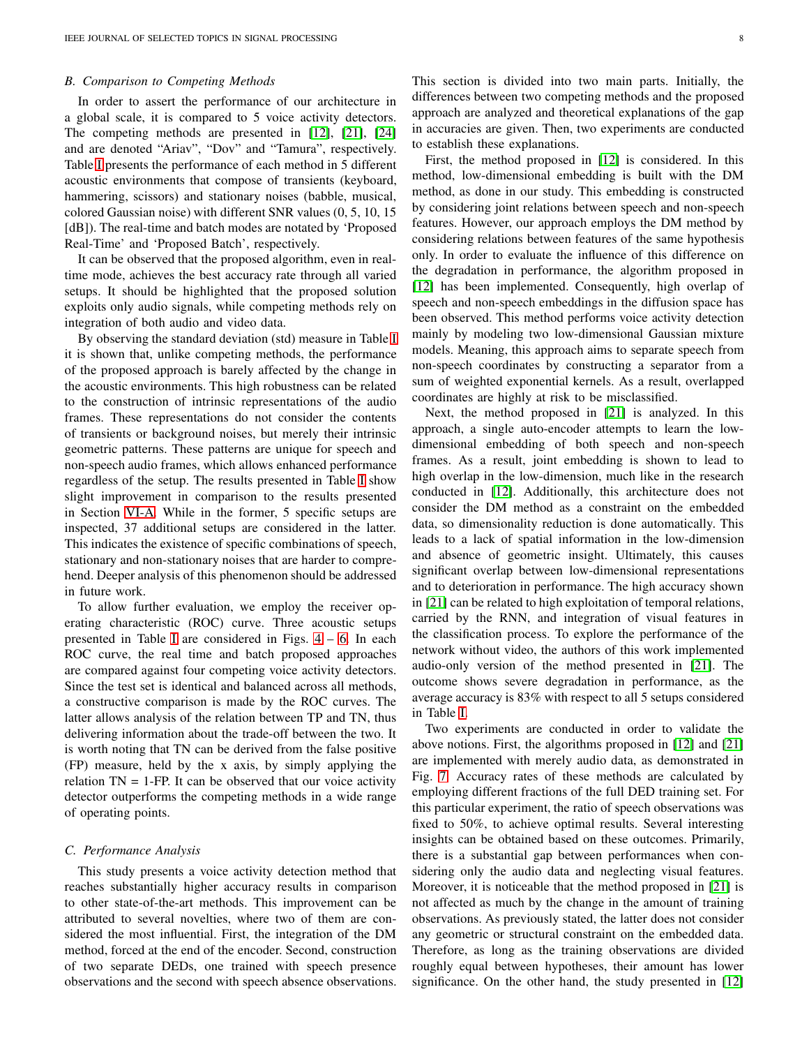# *B. Comparison to Competing Methods*

In order to assert the performance of our architecture in a global scale, it is compared to 5 voice activity detectors. The competing methods are presented in [\[12\]](#page-9-6), [\[21\]](#page-9-13), [\[24\]](#page-10-1) and are denoted "Ariav", "Dov" and "Tamura", respectively. Table [I](#page-6-1) presents the performance of each method in 5 different acoustic environments that compose of transients (keyboard, hammering, scissors) and stationary noises (babble, musical, colored Gaussian noise) with different SNR values (0, 5, 10, 15 [dB]). The real-time and batch modes are notated by 'Proposed Real-Time' and 'Proposed Batch', respectively.

It can be observed that the proposed algorithm, even in realtime mode, achieves the best accuracy rate through all varied setups. It should be highlighted that the proposed solution exploits only audio signals, while competing methods rely on integration of both audio and video data.

By observing the standard deviation (std) measure in Table [I](#page-6-1) it is shown that, unlike competing methods, the performance of the proposed approach is barely affected by the change in the acoustic environments. This high robustness can be related to the construction of intrinsic representations of the audio frames. These representations do not consider the contents of transients or background noises, but merely their intrinsic geometric patterns. These patterns are unique for speech and non-speech audio frames, which allows enhanced performance regardless of the setup. The results presented in Table [I](#page-6-1) show slight improvement in comparison to the results presented in Section [VI-A.](#page-5-5) While in the former, 5 specific setups are inspected, 37 additional setups are considered in the latter. This indicates the existence of specific combinations of speech, stationary and non-stationary noises that are harder to comprehend. Deeper analysis of this phenomenon should be addressed in future work.

To allow further evaluation, we employ the receiver operating characteristic (ROC) curve. Three acoustic setups presented in Table [I](#page-6-1) are considered in Figs. [4](#page-8-1) – [6.](#page-8-2) In each ROC curve, the real time and batch proposed approaches are compared against four competing voice activity detectors. Since the test set is identical and balanced across all methods, a constructive comparison is made by the ROC curves. The latter allows analysis of the relation between TP and TN, thus delivering information about the trade-off between the two. It is worth noting that TN can be derived from the false positive (FP) measure, held by the x axis, by simply applying the relation  $TN = 1$ -FP. It can be observed that our voice activity detector outperforms the competing methods in a wide range of operating points.

## *C. Performance Analysis*

This study presents a voice activity detection method that reaches substantially higher accuracy results in comparison to other state-of-the-art methods. This improvement can be attributed to several novelties, where two of them are considered the most influential. First, the integration of the DM method, forced at the end of the encoder. Second, construction of two separate DEDs, one trained with speech presence observations and the second with speech absence observations. This section is divided into two main parts. Initially, the differences between two competing methods and the proposed approach are analyzed and theoretical explanations of the gap in accuracies are given. Then, two experiments are conducted to establish these explanations.

First, the method proposed in [\[12\]](#page-9-6) is considered. In this method, low-dimensional embedding is built with the DM method, as done in our study. This embedding is constructed by considering joint relations between speech and non-speech features. However, our approach employs the DM method by considering relations between features of the same hypothesis only. In order to evaluate the influence of this difference on the degradation in performance, the algorithm proposed in [\[12\]](#page-9-6) has been implemented. Consequently, high overlap of speech and non-speech embeddings in the diffusion space has been observed. This method performs voice activity detection mainly by modeling two low-dimensional Gaussian mixture models. Meaning, this approach aims to separate speech from non-speech coordinates by constructing a separator from a sum of weighted exponential kernels. As a result, overlapped coordinates are highly at risk to be misclassified.

Next, the method proposed in [\[21\]](#page-9-13) is analyzed. In this approach, a single auto-encoder attempts to learn the lowdimensional embedding of both speech and non-speech frames. As a result, joint embedding is shown to lead to high overlap in the low-dimension, much like in the research conducted in [\[12\]](#page-9-6). Additionally, this architecture does not consider the DM method as a constraint on the embedded data, so dimensionality reduction is done automatically. This leads to a lack of spatial information in the low-dimension and absence of geometric insight. Ultimately, this causes significant overlap between low-dimensional representations and to deterioration in performance. The high accuracy shown in [\[21\]](#page-9-13) can be related to high exploitation of temporal relations, carried by the RNN, and integration of visual features in the classification process. To explore the performance of the network without video, the authors of this work implemented audio-only version of the method presented in [\[21\]](#page-9-13). The outcome shows severe degradation in performance, as the average accuracy is 83% with respect to all 5 setups considered in Table [I.](#page-6-1)

Two experiments are conducted in order to validate the above notions. First, the algorithms proposed in [\[12\]](#page-9-6) and [\[21\]](#page-9-13) are implemented with merely audio data, as demonstrated in Fig. [7.](#page-9-15) Accuracy rates of these methods are calculated by employing different fractions of the full DED training set. For this particular experiment, the ratio of speech observations was fixed to 50%, to achieve optimal results. Several interesting insights can be obtained based on these outcomes. Primarily, there is a substantial gap between performances when considering only the audio data and neglecting visual features. Moreover, it is noticeable that the method proposed in [\[21\]](#page-9-13) is not affected as much by the change in the amount of training observations. As previously stated, the latter does not consider any geometric or structural constraint on the embedded data. Therefore, as long as the training observations are divided roughly equal between hypotheses, their amount has lower significance. On the other hand, the study presented in [\[12\]](#page-9-6)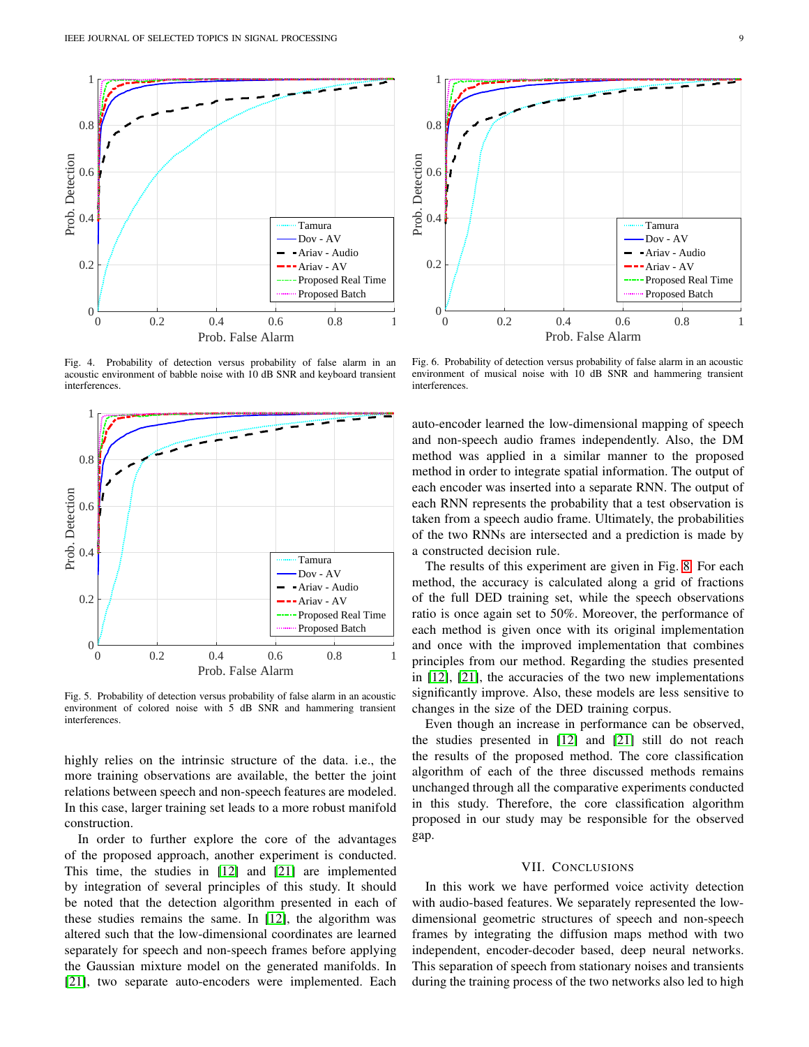

<span id="page-8-1"></span>Fig. 4. Probability of detection versus probability of false alarm in an acoustic environment of babble noise with 10 dB SNR and keyboard transient interferences.



Fig. 5. Probability of detection versus probability of false alarm in an acoustic environment of colored noise with 5 dB SNR and hammering transient interferences.

highly relies on the intrinsic structure of the data. *i.e.*, the more training observations are available, the better the joint relations between speech and non-speech features are modeled. In this case, larger training set leads to a more robust manifold construction.

In order to further explore the core of the advantages of the proposed approach, another experiment is conducted. This time, the studies in [\[12\]](#page-9-6) and [\[21\]](#page-9-13) are implemented by integration of several principles of this study. It should be noted that the detection algorithm presented in each of these studies remains the same. In [\[12\]](#page-9-6), the algorithm was altered such that the low-dimensional coordinates are learned separately for speech and non-speech frames before applying the Gaussian mixture model on the generated manifolds. In [\[21\]](#page-9-13), two separate auto-encoders were implemented. Each



<span id="page-8-2"></span>Fig. 6. Probability of detection versus probability of false alarm in an acoustic environment of musical noise with 10 dB SNR and hammering transient interferences.

auto-encoder learned the low-dimensional mapping of speech and non-speech audio frames independently. Also, the DM method was applied in a similar manner to the proposed method in order to integrate spatial information. The output of each encoder was inserted into a separate RNN. The output of each RNN represents the probability that a test observation is taken from a speech audio frame. Ultimately, the probabilities of the two RNNs are intersected and a prediction is made by a constructed decision rule.

The results of this experiment are given in Fig. [8.](#page-9-16) For each method, the accuracy is calculated along a grid of fractions of the full DED training set, while the speech observations ratio is once again set to 50%. Moreover, the performance of each method is given once with its original implementation and once with the improved implementation that combines principles from our method. Regarding the studies presented in [\[12\]](#page-9-6), [\[21\]](#page-9-13), the accuracies of the two new implementations significantly improve. Also, these models are less sensitive to changes in the size of the DED training corpus.

Even though an increase in performance can be observed, the studies presented in [\[12\]](#page-9-6) and [\[21\]](#page-9-13) still do not reach the results of the proposed method. The core classification algorithm of each of the three discussed methods remains unchanged through all the comparative experiments conducted in this study. Therefore, the core classification algorithm proposed in our study may be responsible for the observed gap.

## VII. CONCLUSIONS

<span id="page-8-0"></span>In this work we have performed voice activity detection with audio-based features. We separately represented the lowdimensional geometric structures of speech and non-speech frames by integrating the diffusion maps method with two independent, encoder-decoder based, deep neural networks. This separation of speech from stationary noises and transients during the training process of the two networks also led to high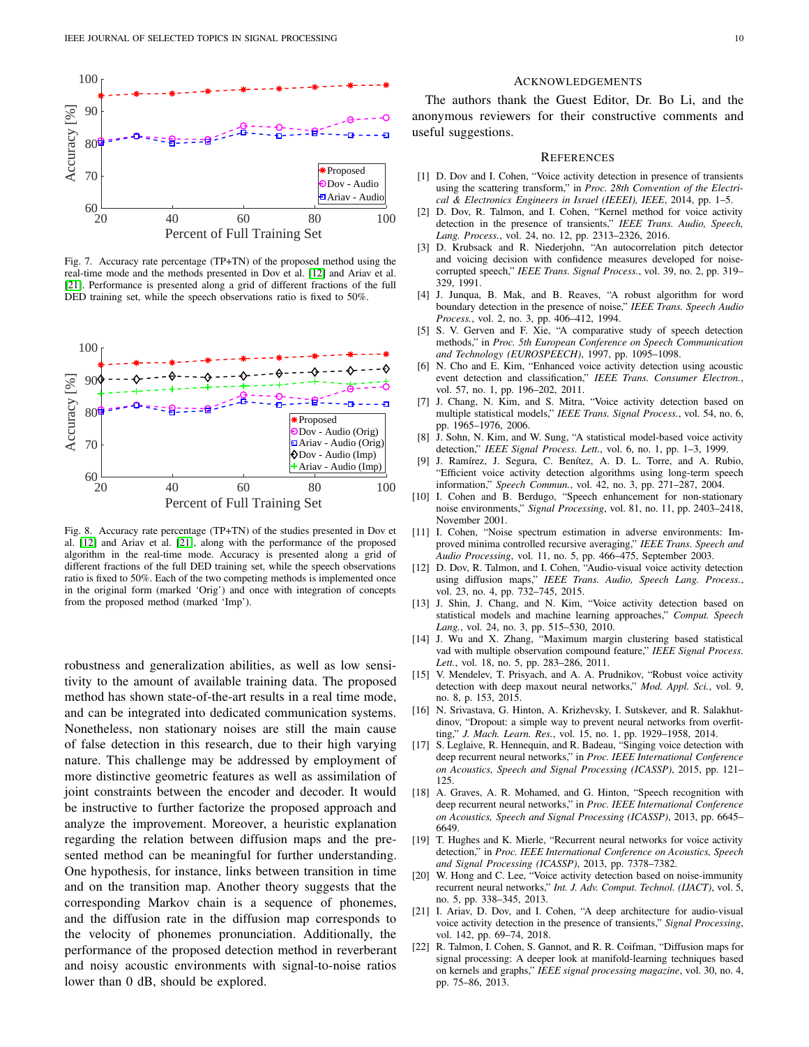

<span id="page-9-15"></span>Fig. 7. Accuracy rate percentage (TP+TN) of the proposed method using the real-time mode and the methods presented in Dov et al. [\[12\]](#page-9-6) and Ariav et al. [\[21\]](#page-9-13). Performance is presented along a grid of different fractions of the full DED training set, while the speech observations ratio is fixed to 50%.



<span id="page-9-16"></span>Fig. 8. Accuracy rate percentage (TP+TN) of the studies presented in Dov et al. [\[12\]](#page-9-6) and Ariav et al. [\[21\]](#page-9-13), along with the performance of the proposed algorithm in the real-time mode. Accuracy is presented along a grid of different fractions of the full DED training set, while the speech observations ratio is fixed to 50%. Each of the two competing methods is implemented once in the original form (marked 'Orig') and once with integration of concepts from the proposed method (marked 'Imp').

robustness and generalization abilities, as well as low sensitivity to the amount of available training data. The proposed method has shown state-of-the-art results in a real time mode, and can be integrated into dedicated communication systems. Nonetheless, non stationary noises are still the main cause of false detection in this research, due to their high varying nature. This challenge may be addressed by employment of more distinctive geometric features as well as assimilation of joint constraints between the encoder and decoder. It would be instructive to further factorize the proposed approach and analyze the improvement. Moreover, a heuristic explanation regarding the relation between diffusion maps and the presented method can be meaningful for further understanding. One hypothesis, for instance, links between transition in time and on the transition map. Another theory suggests that the corresponding Markov chain is a sequence of phonemes, and the diffusion rate in the diffusion map corresponds to the velocity of phonemes pronunciation. Additionally, the performance of the proposed detection method in reverberant and noisy acoustic environments with signal-to-noise ratios lower than 0 dB, should be explored.

## ACKNOWLEDGEMENTS

The authors thank the Guest Editor, Dr. Bo Li, and the anonymous reviewers for their constructive comments and useful suggestions.

### **REFERENCES**

- <span id="page-9-0"></span>[1] D. Dov and I. Cohen, "Voice activity detection in presence of transients using the scattering transform," in *Proc. 28th Convention of the Electrical & Electronics Engineers in Israel (IEEEI), IEEE*, 2014, pp. 1–5.
- <span id="page-9-1"></span>[2] D. Dov, R. Talmon, and I. Cohen, "Kernel method for voice activity detection in the presence of transients," *IEEE Trans. Audio, Speech, Lang. Process.*, vol. 24, no. 12, pp. 2313–2326, 2016.
- <span id="page-9-2"></span>[3] D. Krubsack and R. Niederjohn, "An autocorrelation pitch detector and voicing decision with confidence measures developed for noisecorrupted speech," *IEEE Trans. Signal Process.*, vol. 39, no. 2, pp. 319– 329, 1991.
- [4] J. Junqua, B. Mak, and B. Reaves, "A robust algorithm for word boundary detection in the presence of noise," *IEEE Trans. Speech Audio Process.*, vol. 2, no. 3, pp. 406–412, 1994.
- <span id="page-9-3"></span>[5] S. V. Gerven and F. Xie, "A comparative study of speech detection methods," in *Proc. 5th European Conference on Speech Communication and Technology (EUROSPEECH)*, 1997, pp. 1095–1098.
- <span id="page-9-4"></span>[6] N. Cho and E. Kim, "Enhanced voice activity detection using acoustic event detection and classification," *IEEE Trans. Consumer Electron.*, vol. 57, no. 1, pp. 196–202, 2011.
- [7] J. Chang, N. Kim, and S. Mitra, "Voice activity detection based on multiple statistical models," *IEEE Trans. Signal Process.*, vol. 54, no. 6, pp. 1965–1976, 2006.
- [8] J. Sohn, N. Kim, and W. Sung, "A statistical model-based voice activity detection," *IEEE Signal Process. Lett.*, vol. 6, no. 1, pp. 1–3, 1999.
- [9] J. Ramírez, J. Segura, C. Benítez, A. D. L. Torre, and A. Rubio, "Efficient voice activity detection algorithms using long-term speech information," *Speech Commun.*, vol. 42, no. 3, pp. 271–287, 2004.
- [10] I. Cohen and B. Berdugo, "Speech enhancement for non-stationary noise environments," *Signal Processing*, vol. 81, no. 11, pp. 2403–2418, November 2001.
- <span id="page-9-5"></span>[11] I. Cohen, "Noise spectrum estimation in adverse environments: Improved minima controlled recursive averaging," *IEEE Trans. Speech and Audio Processing*, vol. 11, no. 5, pp. 466–475, September 2003.
- <span id="page-9-6"></span>[12] D. Dov, R. Talmon, and I. Cohen, "Audio-visual voice activity detection using diffusion maps," *IEEE Trans. Audio, Speech Lang. Process.*, vol. 23, no. 4, pp. 732–745, 2015.
- <span id="page-9-7"></span>[13] J. Shin, J. Chang, and N. Kim, "Voice activity detection based on statistical models and machine learning approaches," *Comput. Speech Lang.*, vol. 24, no. 3, pp. 515–530, 2010.
- <span id="page-9-8"></span>[14] J. Wu and X. Zhang, "Maximum margin clustering based statistical vad with multiple observation compound feature," *IEEE Signal Process. Lett.*, vol. 18, no. 5, pp. 283–286, 2011.
- <span id="page-9-9"></span>[15] V. Mendelev, T. Prisyach, and A. A. Prudnikov, "Robust voice activity detection with deep maxout neural networks," *Mod. Appl. Sci.*, vol. 9, no. 8, p. 153, 2015.
- <span id="page-9-10"></span>[16] N. Srivastava, G. Hinton, A. Krizhevsky, I. Sutskever, and R. Salakhutdinov, "Dropout: a simple way to prevent neural networks from overfitting," *J. Mach. Learn. Res.*, vol. 15, no. 1, pp. 1929–1958, 2014.
- <span id="page-9-11"></span>[17] S. Leglaive, R. Hennequin, and R. Badeau, "Singing voice detection with deep recurrent neural networks," in *Proc. IEEE International Conference on Acoustics, Speech and Signal Processing (ICASSP)*, 2015, pp. 121– 125.
- [18] A. Graves, A. R. Mohamed, and G. Hinton, "Speech recognition with deep recurrent neural networks," in *Proc. IEEE International Conference on Acoustics, Speech and Signal Processing (ICASSP)*, 2013, pp. 6645– 6649.
- [19] T. Hughes and K. Mierle, "Recurrent neural networks for voice activity detection," in *Proc. IEEE International Conference on Acoustics, Speech and Signal Processing (ICASSP)*, 2013, pp. 7378–7382.
- <span id="page-9-12"></span>[20] W. Hong and C. Lee, "Voice activity detection based on noise-immunity recurrent neural networks," *Int. J. Adv. Comput. Technol. (IJACT)*, vol. 5, no. 5, pp. 338–345, 2013.
- <span id="page-9-13"></span>[21] I. Ariav, D. Dov, and I. Cohen, "A deep architecture for audio-visual voice activity detection in the presence of transients," *Signal Processing*, vol. 142, pp. 69–74, 2018.
- <span id="page-9-14"></span>[22] R. Talmon, I. Cohen, S. Gannot, and R. R. Coifman, "Diffusion maps for signal processing: A deeper look at manifold-learning techniques based on kernels and graphs," *IEEE signal processing magazine*, vol. 30, no. 4, pp. 75–86, 2013.